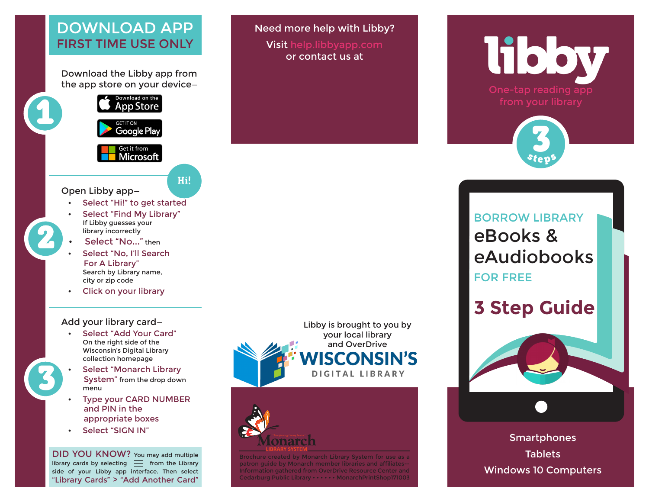#### DOWNLOAD APP FIRST TIME USE ONLY

Download the Libby app from the app store on your device—



Need more help with Libby? Visit help.libbyapp.com or contact us at

# **libby**



## BORROW LIBRARY eBooks & eAudiobooks FOR FREE

## **3 Step Guide**



**Smartphones Tablets** Windows 10 Computers

#### Open Libby app—

Select "Hi!" to get started

Hi!

- Select "Find My Library" If Libby guesses your library incorrectly
- Select "No..." then
- Select "No, I'll Search For A Library" Search by Library name, city or zip code
- Click on your library

#### Add your library card—

- Select "Add Your Card" On the right side of the Wisconsin's Digital Library collection homepage
- Select "Monarch Library System" from the drop down menu
- **Type your CARD NUMBER**  and PIN in the appropriate boxes
- Select "SIGN IN"

3

2

DID YOU KNOW? You may add multiple library cards by selecting  $\equiv$  from the Library side of your Libby app interface. Then select "Library Cards" > "Add Another Card"



Brochure created by Monarch Library System for use as a patron guide by Monarch member libraries and affiliates-- Information gathered from OverDrive Resource Center and Cedarburg Public Library • • • • • • MonarchPrintShop171003